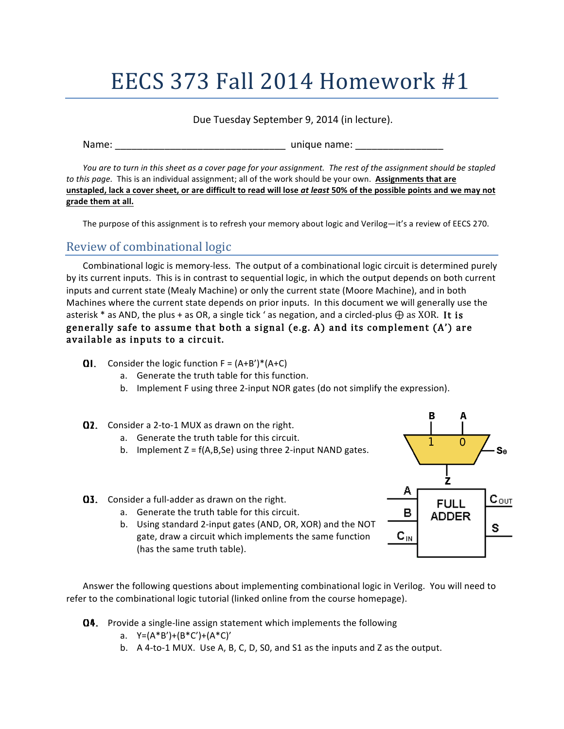# EECS 373 Fall 2014 Homework  $#1$

#### Due Tuesday September 9, 2014 (in lecture).

Name: \_\_\_\_\_\_\_\_\_\_\_\_\_\_\_\_\_\_\_\_\_\_\_\_\_\_\_\_\_\_\_ unique name: \_\_\_\_\_\_\_\_\_\_\_\_\_\_\_\_ 

*You* are to turn in this sheet as a cover page for your assignment. The rest of the assignment should be stapled *to* this page. This is an individual assignment; all of the work should be your own. Assignments that are unstapled, lack a cover sheet, or are difficult to read will lose at least 50% of the possible points and we may not **grade them at all.**

The purpose of this assignment is to refresh your memory about logic and Verilog—it's a review of EECS 270.

## Review of combinational logic

Combinational logic is memory-less. The output of a combinational logic circuit is determined purely by its current inputs. This is in contrast to sequential logic, in which the output depends on both current inputs and current state (Mealy Machine) or only the current state (Moore Machine), and in both Machines where the current state depends on prior inputs. In this document we will generally use the asterisk \* as AND, the plus + as OR, a single tick ' as negation, and a circled-plus  $\bigoplus$  as XOR. It is generally safe to assume that both a signal (e.g. A) and its complement (A') are available as inputs to a circuit.

- **Q1.** Consider the logic function  $F = (A+B')^*(A+C)$ 
	- a. Generate the truth table for this function.
	- b. Implement F using three 2-input NOR gates (do not simplify the expression).

#### $Q2.$  Consider a 2-to-1 MUX as drawn on the right.

- a. Generate the truth table for this circuit.
- b. Implement  $Z = f(A,B,Se)$  using three 2-input NAND gates.
- $Q_{3}$ . Consider a full-adder as drawn on the right.
	- a. Generate the truth table for this circuit.
	- b. Using standard 2-input gates (AND, OR, XOR) and the NOT gate, draw a circuit which implements the same function (has the same truth table).

Answer the following questions about implementing combinational logic in Verilog. You will need to refer to the combinational logic tutorial (linked online from the course homepage).

- Q4. Provide a single-line assign statement which implements the following
	- a.  $Y=(A*B')+ (B*C')+ (A*C)'$
	- b. A 4-to-1 MUX. Use A, B, C, D, S0, and S1 as the inputs and Z as the output.

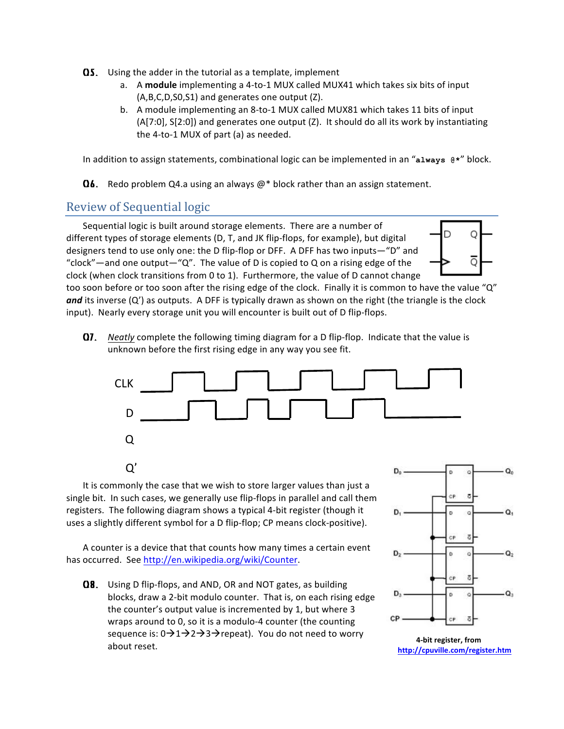- $\Omega$ 5. Using the adder in the tutorial as a template, implement
	- a. A module implementing a 4-to-1 MUX called MUX41 which takes six bits of input  $(A,B,C,D,SO,S1)$  and generates one output  $(Z)$ .
	- b. A module implementing an 8-to-1 MUX called MUX81 which takes 11 bits of input  $(A[7:0], S[2:0])$  and generates one output  $(Z)$ . It should do all its work by instantiating the  $4$ -to-1 MUX of part (a) as needed.

In addition to assign statements, combinational logic can be implemented in an " $a1$ ways  $e^*$ " block.

**Q6.** Redo problem Q4.a using an always  $\omega^*$  block rather than an assign statement.

### Review of Sequential logic

Sequential logic is built around storage elements. There are a number of different types of storage elements (D, T, and JK flip-flops, for example), but digital designers tend to use only one: the D flip-flop or DFF. A DFF has two inputs—"D" and "clock"—and one output—" $Q$ ". The value of D is copied to Q on a rising edge of the clock (when clock transitions from 0 to 1). Furthermore, the value of D cannot change

too soon before or too soon after the rising edge of the clock. Finally it is common to have the value "Q" and its inverse (Q') as outputs. A DFF is typically drawn as shown on the right (the triangle is the clock input). Nearly every storage unit you will encounter is built out of D flip-flops.

**Q7.** *Neatly* complete the following timing diagram for a D flip-flop. Indicate that the value is unknown before the first rising edge in any way you see fit.



It is commonly the case that we wish to store larger values than just a single bit. In such cases, we generally use flip-flops in parallel and call them registers. The following diagram shows a typical 4-bit register (though it uses a slightly different symbol for a D flip-flop; CP means clock-positive).

A counter is a device that that counts how many times a certain event has occurred. See http://en.wikipedia.org/wiki/Counter.

Q8. Using D flip-flops, and AND, OR and NOT gates, as building blocks, draw a 2-bit modulo counter. That is, on each rising edge the counter's output value is incremented by 1, but where 3 wraps around to 0, so it is a modulo-4 counter (the counting sequence is:  $0\rightarrow 1\rightarrow 2\rightarrow 3\rightarrow$  repeat). You do not need to worry about reset.



Ο

Ο

**4-bit register, from http://cpuville.com/register.htm**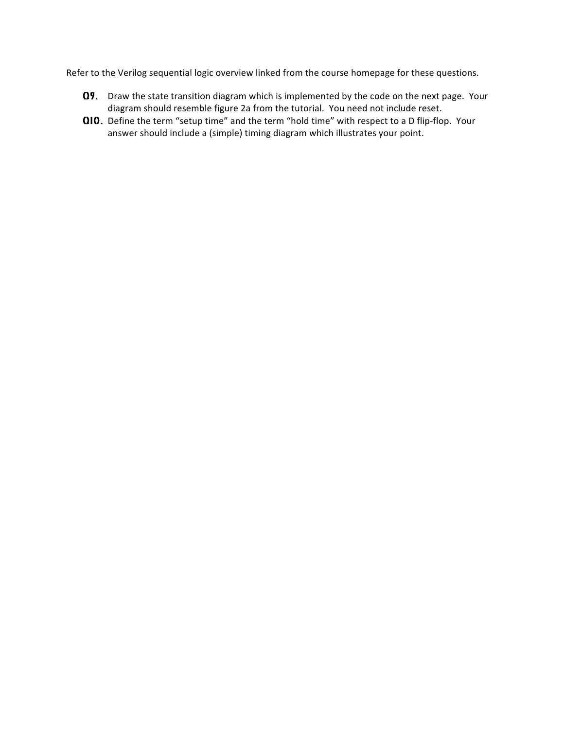Refer to the Verilog sequential logic overview linked from the course homepage for these questions.

- Q9. Draw the state transition diagram which is implemented by the code on the next page. Your diagram should resemble figure 2a from the tutorial. You need not include reset.
- Q10. Define the term "setup time" and the term "hold time" with respect to a D flip-flop. Your answer should include a (simple) timing diagram which illustrates your point.